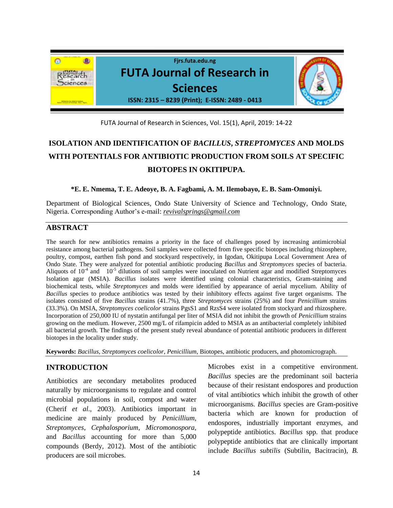

FUTA Journal of Research in Sciences, Vol. 15(1), April, 2019: 14-22

# **ISOLATION AND IDENTIFICATION OF** *BACILLUS***,** *STREPTOMYCES* **AND MOLDS WITH POTENTIALS FOR ANTIBIOTIC PRODUCTION FROM SOILS AT SPECIFIC BIOTOPES IN OKITIPUPA.**

**\*E. E. Nmema, T. E. Adeoye, B. A. Fagbami, A. M. Ilemobayo, E. B. Sam-Omoniyi.**

Department of Biological Sciences, Ondo State University of Science and Technology, Ondo State, Nigeria. Corresponding Author's e-mail: *[revivalsprings@gmail.com](mailto:revivalsprings@gmail.com)*

# **ABSTRACT**

The search for new antibiotics remains a priority in the face of challenges posed by increasing antimicrobial resistance among bacterial pathogens. Soil samples were collected from five specific biotopes including rhizosphere, poultry, compost, earthen fish pond and stockyard respectively, in Igodan, Okitipupa Local Government Area of Ondo State. They were analyzed for potential antibiotic producing *Bacillus* and *Streptomyces* species of bacteria. Aliquots of  $10^{-4}$  and  $10^{-5}$  dilutions of soil samples were inoculated on Nutrient agar and modified Streptomyces Isolation agar (MSIA). *Bacillus* isolates were identified using colonial characteristics, Gram-staining and biochemical tests, while *Streptomyces* and molds were identified by appearance of aerial mycelium. Ability of *Bacillus* species to produce antibiotics was tested by their inhibitory effects against five target organisms. The isolates consisted of five *Bacillus* strains (41.7%), three *Streptomyces* strains (25%) and four *Penicillium* strains (33.3%). On MSIA, *Streptomyces coelicolor* strains PgsS1 and RzsS4 were isolated from stockyard and rhizosphere. Incorporation of 250,000 IU of nystatin antifungal per liter of MSIA did not inhibit the growth of *Penicillium* strains growing on the medium. However, 2500 mg/L of rifampicin added to MSIA as an antibacterial completely inhibited all bacterial growth. The findings of the present study reveal abundance of potential antibiotic producers in different biotopes in the locality under study.

**Keywords:** *Bacillus*, *Streptomyces coelicolor*, *Penicillium*, Biotopes, antibiotic producers, and photomicrograph.

## **INTRODUCTION**

Antibiotics are secondary metabolites produced naturally by microorganisms to regulate and control microbial populations in soil, compost and water (Cherif *et al*., 2003). Antibiotics important in medicine are mainly produced by *Penicillium*, *Streptomyces*, *Cephalosporium*, *Micromonospora*, and *Bacillus* accounting for more than 5,000 compounds (Berdy, 2012). Most of the antibiotic producers are soil microbes.

Microbes exist in a competitive environment. *Bacillus* species are the predominant soil bacteria because of their resistant endospores and production of vital antibiotics which inhibit the growth of other microorganisms. *Bacillus* species are Gram-positive bacteria which are known for production of endospores, industrially important enzymes, and polypeptide antibiotics. *Bacillus* spp. that produce polypeptide antibiotics that are clinically important include *Bacillus subtilis* (Subtilin, Bacitracin), *B.*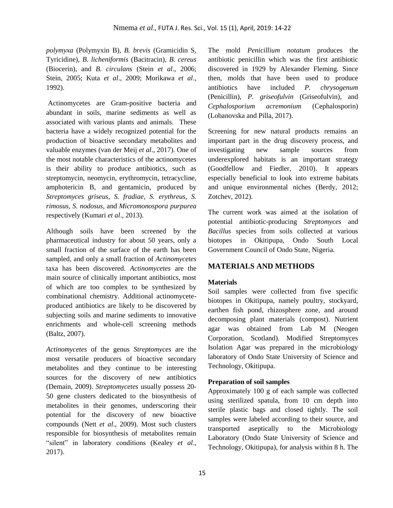*polymyxa* (Polymyxin B), *B. brevis* (Gramicidin S, Tyricidine), *B. licheniformis* (Bacitracin), *B. cereus* (Biocerin), and *B. circulans* (Stein *et al*., 2006; Stein, 2005; Kuta *et al*., 2009; Morikawa *et al*., 1992).

Actinomycetes are Gram-positive bacteria and abundant in soils, marine sediments as well as associated with various plants and animals. These bacteria have a widely recognized potential for the production of bioactive secondary metabolites and valuable enzymes (van der Meij *et al*., 2017). One of the most notable characteristics of the actinomycetes is their ability to produce antibiotics, such as streptomycin, neomycin, erythromycin, tetracycline, amphotericin B, and gentamicin, produced by *Streptomyces griseus*, *S. fradiae*, *S. erythreus*, *S. rimosus*, *S. nodosus*, and *Micromonospora purpurea* respectively (Kumari *et al*., 2013).

Although soils have been screened by the pharmaceutical industry for about 50 years, only a small fraction of the surface of the earth has been sampled, and only a small fraction of *Actinomycetes*  taxa has been discovered. *Actinomycetes* are the main source of clinically important antibiotics, most of which are too complex to be synthesized by combinational chemistry. Additional actinomyceteproduced antibiotics are likely to be discovered by subjecting soils and marine sediments to innovative enrichments and whole-cell screening methods (Baltz, 2007).

*Actinomycetes* of the genus *Streptomyces* are the most versatile producers of bioactive secondary metabolites and they continue to be interesting sources for the discovery of new antibiotics (Demain, 2009). *Streptomycetes* usually possess 20- 50 gene clusters dedicated to the biosynthesis of metabolites in their genomes, underscoring their potential for the discovery of new bioactive compounds (Nett *et al*., 2009). Most such clusters responsible for biosynthesis of metabolites remain "silent" in laboratory conditions (Kealey *et al*., 2017).

The mold *Penicillium notatum* produces the antibiotic penicillin which was the first antibiotic discovered in 1929 by Alexander Fleming. Since then, molds that have been used to produce antibiotics have included *P. chrysogenum*  (Penicillin), *P. griseofulvin* (Griseofulvin), and *Cephalosporium acremonium* (Cephalosporin) (Lobanovska and Pilla, 2017).

Screening for new natural products remains an important part in the drug discovery process, and investigating new sample sources from underexplored habitats is an important strategy (Goodfellow and Fiedler, 2010). It appears especially beneficial to look into extreme habitats and unique environmental niches (Berdy, 2012; Zotchev, 2012).

The current work was aimed at the isolation of potential antibiotic-producing *Streptomyces* and *Bacillus* species from soils collected at various biotopes in Okitipupa, Ondo South Local Government Council of Ondo State, Nigeria.

#### **MATERIALS AND METHODS**

#### **Materials**

Soil samples were collected from five specific biotopes in Okitipupa, namely poultry, stockyard, earthen fish pond, rhizosphere zone, and around decomposing plant materials (compost). Nutrient agar was obtained from Lab M (Neogen Corporation, Scotland). Modified Streptomyces Isolation Agar was prepared in the microbiology laboratory of Ondo State University of Science and Technology, Okitipupa.

## **Preparation of soil samples**

Approximately 100 g of each sample was collected using sterilized spatula, from 10 cm depth into sterile plastic bags and closed tightly. The soil samples were labeled according to their source, and transported aseptically to the Microbiology Laboratory (Ondo State University of Science and Technology, Okitipupa), for analysis within 8 h. The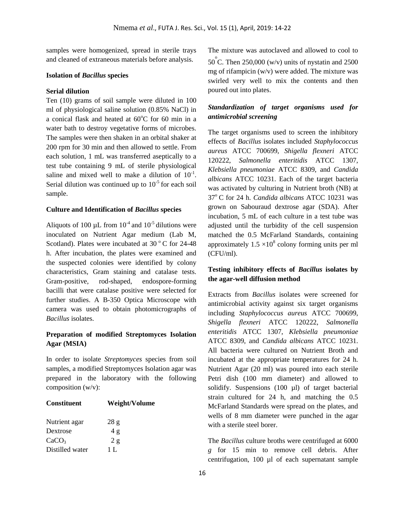samples were homogenized, spread in sterile trays and cleaned of extraneous materials before analysis.

#### **Isolation of** *Bacillus* **species**

#### **Serial dilution**

Ten (10) grams of soil sample were diluted in 100 ml of physiological saline solution (0.85% NaCl) in a conical flask and heated at  $60^{\circ}$ C for 60 min in a water bath to destroy vegetative forms of microbes. The samples were then shaken in an orbital shaker at 200 rpm for 30 min and then allowed to settle. From each solution, 1 mL was transferred aseptically to a test tube containing 9 mL of sterile physiological saline and mixed well to make a dilution of  $10^{-1}$ . Serial dilution was continued up to  $10^{-5}$  for each soil sample.

#### **Culture and Identification of** *Bacillus* **species**

Aliquots of 100  $\mu$ L from 10<sup>-4</sup> and 10<sup>-5</sup> dilutions were inoculated on Nutrient Agar medium (Lab M, Scotland). Plates were incubated at 30 $\degree$ C for 24-48 h. After incubation, the plates were examined and the suspected colonies were identified by colony characteristics, Gram staining and catalase tests. Gram-positive, rod-shaped, endospore-forming bacilli that were catalase positive were selected for further studies. A B-350 Optica Microscope with camera was used to obtain photomicrographs of *Bacillus* isolates.

## **Preparation of modified Streptomyces Isolation Agar (MSIA)**

In order to isolate *Streptomyces* species from soil samples, a modified Streptomyces Isolation agar was prepared in the laboratory with the following composition (w/v):

| <b>Constituent</b> | Weight/Volume |
|--------------------|---------------|
| Nutrient agar      | 28 g          |
| Dextrose           | 4g            |
| CaCO <sub>3</sub>  | 2 g           |
| Distilled water    | 1 L           |

The mixture was autoclaved and allowed to cool to  $50^{\degree}$ C. Then 250,000 (w/v) units of nystatin and 2500 mg of rifampicin (w/v) were added. The mixture was swirled very well to mix the contents and then poured out into plates.

# *Standardization of target organisms used for antimicrobial screening*

The target organisms used to screen the inhibitory effects of *Bacillus* isolates included *Staphylococcus aureus* ATCC 700699, *Shigella flexneri* ATCC 120222, *Salmonella enteritidis* ATCC 1307, *Klebsiella pneumoniae* ATCC 8309, and *Candida albicans* ATCC 10231. Each of the target bacteria was activated by culturing in Nutrient broth (NB) at 37<sup>o</sup>C for 24 h. *Candida albicans* ATCC 10231 was grown on Sabouraud dextrose agar (SDA). After incubation, 5 mL of each culture in a test tube was adjusted until the turbidity of the cell suspension matched the 0.5 McFarland Standards, containing approximately  $1.5 \times 10^8$  colony forming units per ml (CFU/ml).

## **Testing inhibitory effects of** *Bacillus* **isolates by the agar-well diffusion method**

Extracts from *Bacillus* isolates were screened for antimicrobial activity against six target organisms including *Staphylococcus aureus* ATCC 700699, *Shigella flexneri* ATCC 120222, *Salmonella enteritidis* ATCC 1307, *Klebsiella pneumoniae* ATCC 8309, and *Candida albicans* ATCC 10231. All bacteria were cultured on Nutrient Broth and incubated at the appropriate temperatures for 24 h. Nutrient Agar (20 ml) was poured into each sterile Petri dish (100 mm diameter) and allowed to solidify. Suspensions  $(100 \text{ µ})$  of target bacterial strain cultured for 24 h, and matching the 0.5 McFarland Standards were spread on the plates, and wells of 8 mm diameter were punched in the agar with a sterile steel borer.

The *Bacillus* culture broths were centrifuged at 6000 *g* for 15 min to remove cell debris. After centrifugation, 100 µl of each supernatant sample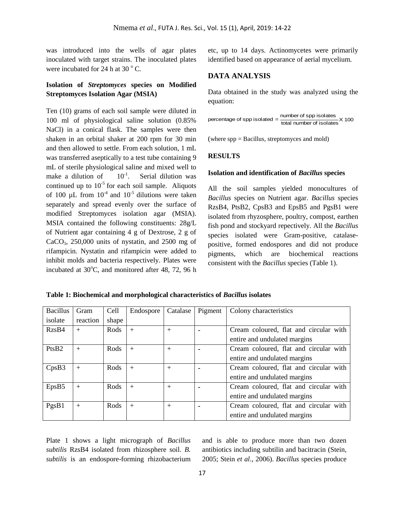was introduced into the wells of agar plates inoculated with target strains. The inoculated plates were incubated for 24 h at 30 $\degree$  C.

# **Isolation of** *Streptomyces* **species on Modified Streptomyces Isolation Agar (MSIA)**

Ten (10) grams of each soil sample were diluted in 100 ml of physiological saline solution (0.85% NaCl) in a conical flask. The samples were then shaken in an orbital shaker at 200 rpm for 30 min and then allowed to settle. From each solution, 1 mL was transferred aseptically to a test tube containing 9 mL of sterile physiological saline and mixed well to make a dilution of  $10^{-1}$ . . Serial dilution was continued up to  $10^{-5}$  for each soil sample. Aliquots of 100  $\mu$ L from 10<sup>-4</sup> and 10<sup>-5</sup> dilutions were taken separately and spread evenly over the surface of modified Streptomyces isolation agar (MSIA). MSIA contained the following constituents: 28g/L of Nutrient agar containing 4 g of Dextrose, 2 g of  $CaCO<sub>3</sub>$ , 250,000 units of nystatin, and 2500 mg of rifampicin. Nystatin and rifampicin were added to inhibit molds and bacteria respectively. Plates were incubated at  $30^{\circ}$ C, and monitored after 48, 72, 96 h

etc, up to 14 days. Actinomycetes were primarily identified based on appearance of aerial mycelium.

## **DATA ANALYSIS**

Data obtained in the study was analyzed using the equation:

percentage of spp isolated  $=$   $\frac{\text{number of spp isolates}}{\text{total number of isolates}} \times 100$ 

(where spp = Bacillus, streptomyces and mold)

#### **RESULTS**

#### **Isolation and identification of** *Bacillus* **species**

All the soil samples yielded monocultures of *Bacillus* species on Nutrient agar. *Bacillus* species RzsB4, PtsB2, CpsB3 and EpsB5 and PgsB1 were isolated from rhyzosphere, poultry, compost, earthen fish pond and stockyard repectively. All the *Bacillus* species isolated were Gram-positive, catalasepositive, formed endospores and did not produce pigments, which are biochemical reactions consistent with the *Bacillus* species (Table 1).

| <b>Bacillus</b> | Gram     | Cell  | Endospore | Catalase       | Pigment | Colony characteristics                 |
|-----------------|----------|-------|-----------|----------------|---------|----------------------------------------|
| isolate         | reaction | shape |           |                |         |                                        |
| RzsB4           | $+$      | Rods  | $+$       | $\overline{+}$ |         | Cream coloured, flat and circular with |
|                 |          |       |           |                |         | entire and undulated margins           |
| PtsB2           | $+$      | Rods  | $+$       | $+$            |         | Cream coloured, flat and circular with |
|                 |          |       |           |                |         | entire and undulated margins           |
| CpsB3           | $+$      | Rods  | $+$       | $+$            |         | Cream coloured, flat and circular with |
|                 |          |       |           |                |         | entire and undulated margins           |
| EpsB5           | $+$      | Rods  | $+$       | $+$            |         | Cream coloured, flat and circular with |
|                 |          |       |           |                |         | entire and undulated margins           |
| PgsB1           | $+$      | Rods  | $+$       | $+$            |         | Cream coloured, flat and circular with |
|                 |          |       |           |                |         | entire and undulated margins           |

**Table 1: Biochemical and morphological characteristics of** *Bacillus* **isolates**

Plate 1 shows a light micrograph of *Bacillus subtilis* RzsB4 isolated from rhizosphere soil. *B. subtilis* is an endospore-forming rhizobacterium

and is able to produce more than two dozen antibiotics including subtilin and bacitracin (Stein, 2005; Stein *et al*., 2006). *Bacillus* species produce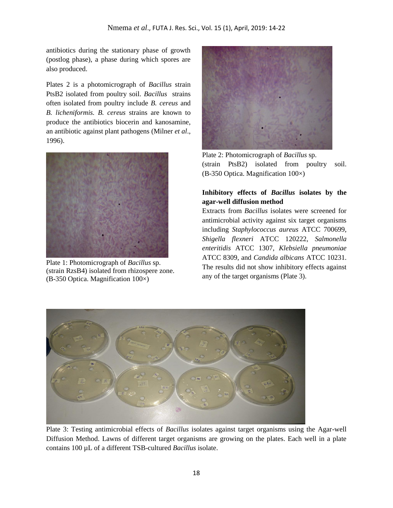antibiotics during the stationary phase of growth (postlog phase), a phase during which spores are also produced.

Plates 2 is a photomicrograph of *Bacillus* strain PtsB2 isolated from poultry soil. *Bacillus* strains often isolated from poultry include *B. cereus* and *B. licheniformis. B. cereus* strains are known to produce the antibiotics biocerin and kanosamine, an antibiotic against plant pathogens (Milner *et al*., 1996).



Plate 1: Photomicrograph of *Bacillus* sp. (strain RzsB4) isolated from rhizospere zone. (B-350 Optica. Magnification 100×)



Plate 2: Photomicrograph of *Bacillus* sp. (strain PtsB2) isolated from poultry soil. (B-350 Optica. Magnification 100×)

# **Inhibitory effects of** *Bacillus* **isolates by the agar-well diffusion method**

Extracts from *Bacillus* isolates were screened for antimicrobial activity against six target organisms including *Staphylococcus aureus* ATCC 700699, *Shigella flexneri* ATCC 120222, *Salmonella enteritidis* ATCC 1307, *Klebsiella pneumoniae* ATCC 8309, and *Candida albicans* ATCC 10231. The results did not show inhibitory effects against any of the target organisms (Plate 3).



Plate 3: Testing antimicrobial effects of *Bacillus* isolates against target organisms using the Agar-well Diffusion Method. Lawns of different target organisms are growing on the plates. Each well in a plate contains 100 µL of a different TSB-cultured *Bacillus* isolate.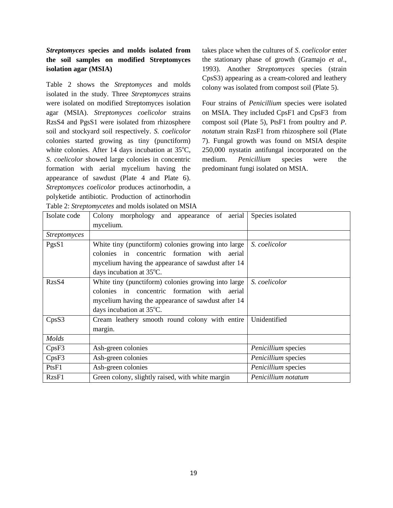# *Streptomyces* **species and molds isolated from the soil samples on modified Streptomyces isolation agar (MSIA)**

Table 2 shows the *Streptomyces* and molds isolated in the study. Three *Streptomyces* strains were isolated on modified Streptomyces isolation agar (MSIA). *Streptomyces coelicolor* strains RzsS4 and PgsS1 were isolated from rhizosphere soil and stockyard soil respectively. *S. coelicolor* colonies started growing as tiny (punctiform) white colonies. After 14 days incubation at  $35^{\circ}$ C, *S. coelicolor* showed large colonies in concentric formation with aerial mycelium having the appearance of sawdust (Plate 4 and Plate 6). *Streptomyces coelicolor* produces actinorhodin, a polyketide antibiotic. Production of actinorhodin Table 2: *Streptomycetes* and molds isolated on MSIA takes place when the cultures of *S*. *coelicolor* enter the stationary phase of growth (Gramajo *et al*., 1993). Another *Streptomyces* species (strain CpsS3) appearing as a cream-colored and leathery colony was isolated from compost soil (Plate 5).

Four strains of *Penicillium* species were isolated on MSIA. They included CpsF1 and CpsF3 from compost soil (Plate 5), PtsF1 from poultry and *P. notatum* strain RzsF1 from rhizosphere soil (Plate 7). Fungal growth was found on MSIA despite 250,000 nystatin antifungal incorporated on the medium. *Penicillium* species were the predominant fungi isolated on MSIA.

| <b>Table 2. Birc<i>promyceles</i></b> and moras isolated on mistry |                                                         |                     |  |  |  |  |
|--------------------------------------------------------------------|---------------------------------------------------------|---------------------|--|--|--|--|
| Isolate code                                                       | Colony morphology and appearance of aerial<br>mycelium. | Species isolated    |  |  |  |  |
| <b>Streptomyces</b>                                                |                                                         |                     |  |  |  |  |
| PgsS1                                                              | White tiny (punctiform) colonies growing into large     | S. coelicolor       |  |  |  |  |
|                                                                    | colonies in concentric formation with aerial            |                     |  |  |  |  |
|                                                                    | mycelium having the appearance of sawdust after 14      |                     |  |  |  |  |
|                                                                    | days incubation at 35°C.                                |                     |  |  |  |  |
| RzsS4                                                              | White tiny (punctiform) colonies growing into large     | S. coelicolor       |  |  |  |  |
|                                                                    | colonies in concentric formation with aerial            |                     |  |  |  |  |
|                                                                    | mycelium having the appearance of sawdust after 14      |                     |  |  |  |  |
|                                                                    | days incubation at 35°C.                                |                     |  |  |  |  |
| CpsS3                                                              | Cream leathery smooth round colony with entire          | Unidentified        |  |  |  |  |
|                                                                    | margin.                                                 |                     |  |  |  |  |
| Molds                                                              |                                                         |                     |  |  |  |  |
| CpsF3                                                              | Ash-green colonies                                      | Penicillium species |  |  |  |  |
| CpsF3                                                              | Ash-green colonies                                      | Penicillium species |  |  |  |  |
| PtsF1                                                              | Ash-green colonies                                      | Penicillium species |  |  |  |  |
| RzsF1                                                              | Green colony, slightly raised, with white margin        | Penicillium notatum |  |  |  |  |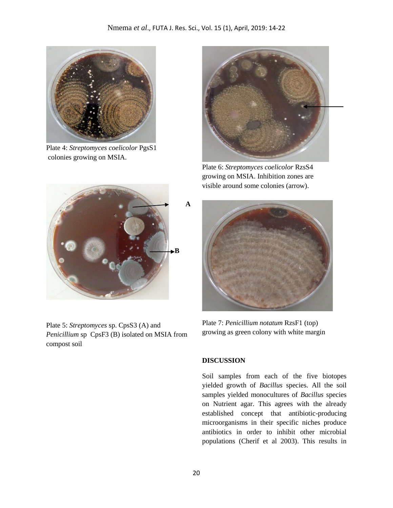

Plate 4: *Streptomyces coelicolor* PgsS1 colonies growing on MSIA.



Plate 5: *Streptomyces* sp. CpsS3 (A) and *Penicillium* sp CpsF3 (B) isolated on MSIA from compost soil



Plate 6: *Streptomyces coelicolor* RzsS4 growing on MSIA. Inhibition zones are visible around some colonies (arrow).



Plate 7: *Penicillium notatum* RzsF1 (top) growing as green colony with white margin

## **DISCUSSION**

Soil samples from each of the five biotopes yielded growth of *Bacillus* species. All the soil samples yielded monocultures of *Bacillus* species on Nutrient agar. This agrees with the already established concept that antibiotic-producing microorganisms in their specific niches produce antibiotics in order to inhibit other microbial populations (Cherif et al 2003). This results in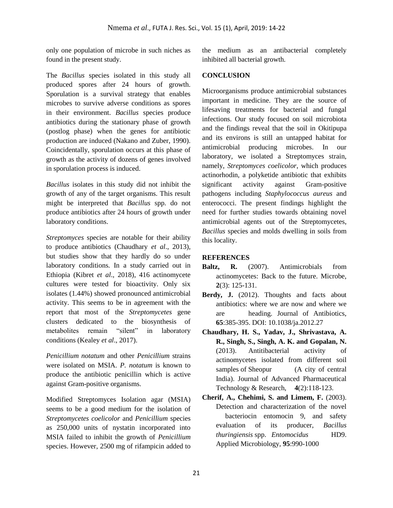only one population of microbe in such niches as found in the present study.

The *Bacillus* species isolated in this study all produced spores after 24 hours of growth. Sporulation is a survival strategy that enables microbes to survive adverse conditions as spores in their environment. *Bacillus* species produce antibiotics during the stationary phase of growth (postlog phase) when the genes for antibiotic production are induced (Nakano and Zuber, 1990). Coincidentally, sporulation occurs at this phase of growth as the activity of dozens of genes involved in sporulation process is induced.

*Bacillus* isolates in this study did not inhibit the growth of any of the target organisms. This result might be interpreted that *Bacillus* spp. do not produce antibiotics after 24 hours of growth under laboratory conditions.

*Streptomyces* species are notable for their ability to produce antibiotics (Chaudhary *et al*., 2013), but studies show that they hardly do so under laboratory conditions. In a study carried out in Ethiopia (Kibret *et al*., 2018), 416 actinomycete cultures were tested for bioactivity. Only six isolates (1.44%) showed pronounced antimicrobial activity. This seems to be in agreement with the report that most of the *Streptomycetes* gene clusters dedicated to the biosynthesis of metabolites remain "silent" in laboratory conditions (Kealey *et al*., 2017).

*Penicillium notatum* and other *Penicillium* strains were isolated on MSIA. *P. notatum* is known to produce the antibiotic penicillin which is active against Gram-positive organisms.

Modified Streptomyces Isolation agar (MSIA) seems to be a good medium for the isolation of *Streptomycetes coelicolor* and *Penicillium* species as 250,000 units of nystatin incorporated into MSIA failed to inhibit the growth of *Penicillium* species. However, 2500 mg of rifampicin added to

the medium as an antibacterial completely inhibited all bacterial growth.

# **CONCLUSION**

Microorganisms produce antimicrobial substances important in medicine. They are the source of lifesaving treatments for bacterial and fungal infections. Our study focused on soil microbiota and the findings reveal that the soil in Okitipupa and its environs is still an untapped habitat for antimicrobial producing microbes. In our laboratory, we isolated a Streptomyces strain, namely, *Streptomyces coelicolor*, which produces actinorhodin, a polyketide antibiotic that exhibits significant activity against Gram-positive pathogens including *Staphylococcus aureus* and enterococci. The present findings highlight the need for further studies towards obtaining novel antimicrobial agents out of the Streptomycetes, *Bacillus* species and molds dwelling in soils from this locality.

## **REFERENCES**

- Baltz, R. (2007). Antimicrobials from actinomycetes: Back to the future. Microbe, **2**(3): 125-131.
- **Berdy, J.** (2012). Thoughts and facts about antibiotics: where we are now and where we are heading. Journal of Antibiotics, **65**:385-395. DOI: 10.1038/ja.2012.27
- **Chaudhary, H. S., Yadav, J., Shrivastava, A. R., Singh, S., Singh, A. K. and Gopalan, N.** (2013). Antitibacterial activity of actinomycetes isolated from different soil samples of Sheopur (A city of central India). Journal of Advanced Pharmaceutical Technology & Research, **4**(2):118-123.
- **Cherif, A., Chehimi, S. and Limem, F.** (2003). Detection and characterization of the novel bacteriocin entomocin 9, and safety evaluation of its producer, *Bacillus thuringiensis* spp. *Entomocidus* HD9. Applied Microbiology, **95**:990-1000